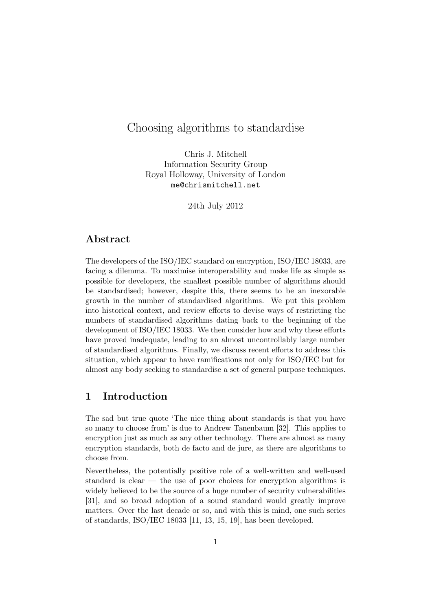# Choosing algorithms to standardise

Chris J. Mitchell Information Security Group Royal Holloway, University of London me@chrismitchell.net

24th July 2012

## **Abstract**

The developers of the ISO/IEC standard on encryption, ISO/IEC 18033, are facing a dilemma. To maximise interoperability and make life as simple as possible for developers, the smallest possible number of algorithms should be standardised; however, despite this, there seems to be an inexorable growth in the number of standardised algorithms. We put this problem into historical context, and review efforts to devise ways of restricting the numbers of standardised algorithms dating back to the beginning of the development of ISO/IEC 18033. We then consider how and why these efforts have proved inadequate, leading to an almost uncontrollably large number of standardised algorithms. Finally, we discuss recent efforts to address this situation, which appear to have ramifications not only for ISO/IEC but for almost any body seeking to standardise a set of general purpose techniques.

## **1 Introduction**

The sad but true quote 'The nice thing about standards is that you have so many to choose from' is due to Andrew Tanenbaum [32]. This applies to encryption just as much as any other technology. There are almost as many encryption standards, both de facto and de jure, as there are algorithms to choose from.

Nevertheless, the potentially positive role of a well-written and well-used standard is clear — the use of poor choices for encryption algorithms is widely believed to be the source of a huge number of security vulnerabilities [31], and so broad adoption of a sound standard would greatly improve matters. Over the last decade or so, and with this is mind, one such series of standards, ISO/IEC 18033 [11, 13, 15, 19], has been developed.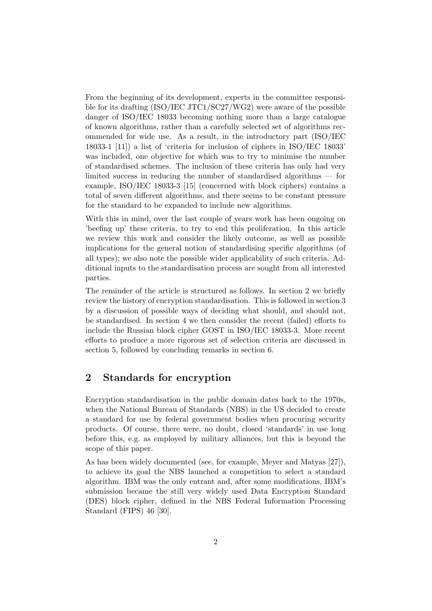From the beginning of its development, experts in the committee responsible for its drafting (ISO/IEC JTC1/SC27/WG2) were aware of the possible danger of ISO/IEC 18033 becoming nothing more than a large catalogue of known algorithms, rather than a carefully selected set of algorithms recommended for wide use. As a result, in the introductory part (ISO/IEC 18033-1 [11]) a list of 'criteria for inclusion of ciphers in ISO/IEC 18033' was included, one objective for which was to try to minimise the number of standardised schemes. The inclusion of these criteria has only had very limited success in reducing the number of standardised algorithms — for example, ISO/IEC 18033-3 [15] (concerned with block ciphers) contains a total of seven different algorithms, and there seems to be constant pressure for the standard to be expanded to include new algorithms.

With this in mind, over the last couple of years work has been ongoing on 'beefing up' these criteria, to try to end this proliferation. In this article we review this work and consider the likely outcome, as well as possible implications for the general notion of standardising specific algorithms (of all types); we also note the possible wider applicability of such criteria. Additional inputs to the standardisation process are sought from all interested parties.

The reminder of the article is structured as follows. In section 2 we briefly review the history of encryption standardisation. This is followed in section 3 by a discussion of possible ways of deciding what should, and should not, be standardised. In section 4 we then consider the recent (failed) efforts to include the Russian block cipher GOST in ISO/IEC 18033-3. More recent efforts to produce a more rigorous set of selection criteria are discussed in section 5, followed by concluding remarks in section 6.

# **2 Standards for encryption**

Encryption standardisation in the public domain dates back to the 1970s, when the National Bureau of Standards (NBS) in the US decided to create a standard for use by federal government bodies when procuring security products. Of course, there were, no doubt, closed 'standards' in use long before this, e.g. as employed by military alliances, but this is beyond the scope of this paper.

As has been widely documented (see, for example, Meyer and Matyas [27]), to achieve its goal the NBS launched a competition to select a standard algorithm. IBM was the only entrant and, after some modifications, IBM's submission became the still very widely used Data Encryption Standard (DES) block cipher, defined in the NBS Federal Information Processing Standard (FIPS) 46 [30].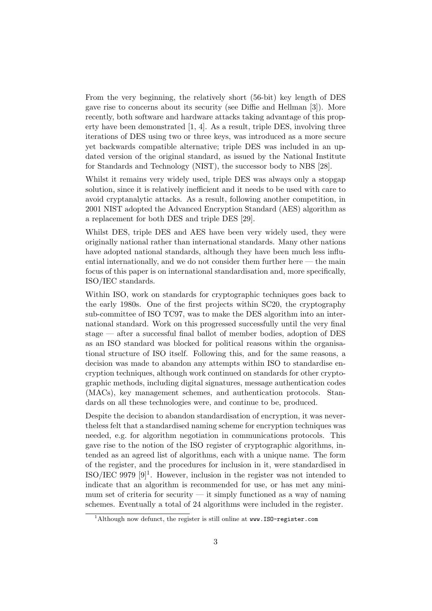From the very beginning, the relatively short (56-bit) key length of DES gave rise to concerns about its security (see Diffie and Hellman [3]). More recently, both software and hardware attacks taking advantage of this property have been demonstrated [1, 4]. As a result, triple DES, involving three iterations of DES using two or three keys, was introduced as a more secure yet backwards compatible alternative; triple DES was included in an updated version of the original standard, as issued by the National Institute for Standards and Technology (NIST), the successor body to NBS [28].

Whilst it remains very widely used, triple DES was always only a stopgap solution, since it is relatively inefficient and it needs to be used with care to avoid cryptanalytic attacks. As a result, following another competition, in 2001 NIST adopted the Advanced Encryption Standard (AES) algorithm as a replacement for both DES and triple DES [29].

Whilst DES, triple DES and AES have been very widely used, they were originally national rather than international standards. Many other nations have adopted national standards, although they have been much less influential internationally, and we do not consider them further here  $-$  the main focus of this paper is on international standardisation and, more specifically, ISO/IEC standards.

Within ISO, work on standards for cryptographic techniques goes back to the early 1980s. One of the first projects within SC20, the cryptography sub-committee of ISO TC97, was to make the DES algorithm into an international standard. Work on this progressed successfully until the very final stage — after a successful final ballot of member bodies, adoption of DES as an ISO standard was blocked for political reasons within the organisational structure of ISO itself. Following this, and for the same reasons, a decision was made to abandon any attempts within ISO to standardise encryption techniques, although work continued on standards for other cryptographic methods, including digital signatures, message authentication codes (MACs), key management schemes, and authentication protocols. Standards on all these technologies were, and continue to be, produced.

Despite the decision to abandon standardisation of encryption, it was nevertheless felt that a standardised naming scheme for encryption techniques was needed, e.g. for algorithm negotiation in communications protocols. This gave rise to the notion of the ISO register of cryptographic algorithms, intended as an agreed list of algorithms, each with a unique name. The form of the register, and the procedures for inclusion in it, were standardised in ISO/IEC 9979  $[9]$ <sup>1</sup>. However, inclusion in the register was not intended to indicate that an algorithm is recommended for use, or has met any minimum set of criteria for security — it simply functioned as a way of naming schemes. Eventually a total of 24 algorithms were included in the register.

<sup>&</sup>lt;sup>1</sup>Although now defunct, the register is still online at  $www. IS0-register.com$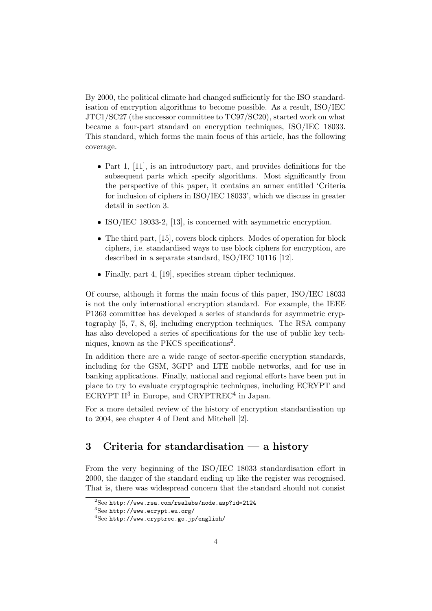By 2000, the political climate had changed sufficiently for the ISO standardisation of encryption algorithms to become possible. As a result, ISO/IEC JTC1/SC27 (the successor committee to TC97/SC20), started work on what became a four-part standard on encryption techniques, ISO/IEC 18033. This standard, which forms the main focus of this article, has the following coverage.

- Part 1, [11], is an introductory part, and provides definitions for the subsequent parts which specify algorithms. Most significantly from the perspective of this paper, it contains an annex entitled 'Criteria for inclusion of ciphers in ISO/IEC 18033', which we discuss in greater detail in section 3.
- ISO/IEC 18033-2, [13], is concerned with asymmetric encryption.
- The third part, [15], covers block ciphers. Modes of operation for block ciphers, i.e. standardised ways to use block ciphers for encryption, are described in a separate standard, ISO/IEC 10116 [12].
- Finally, part 4, [19], specifies stream cipher techniques.

Of course, although it forms the main focus of this paper, ISO/IEC 18033 is not the only international encryption standard. For example, the IEEE P1363 committee has developed a series of standards for asymmetric cryptography [5, 7, 8, 6], including encryption techniques. The RSA company has also developed a series of specifications for the use of public key techniques, known as the PKCS specifications<sup>2</sup>.

In addition there are a wide range of sector-specific encryption standards, including for the GSM, 3GPP and LTE mobile networks, and for use in banking applications. Finally, national and regional efforts have been put in place to try to evaluate cryptographic techniques, including ECRYPT and ECRYPT  $II^3$  in Europe, and CRYPTREC<sup>4</sup> in Japan.

For a more detailed review of the history of encryption standardisation up to 2004, see chapter 4 of Dent and Mitchell [2].

# **3 Criteria for standardisation — a history**

From the very beginning of the ISO/IEC 18033 standardisation effort in 2000, the danger of the standard ending up like the register was recognised. That is, there was widespread concern that the standard should not consist

 $^{2}$ See http://www.rsa.com/rsalabs/node.asp?id=2124

<sup>3</sup>See http://www.ecrypt.eu.org/

 $^4$ See http://www.cryptrec.go.jp/english/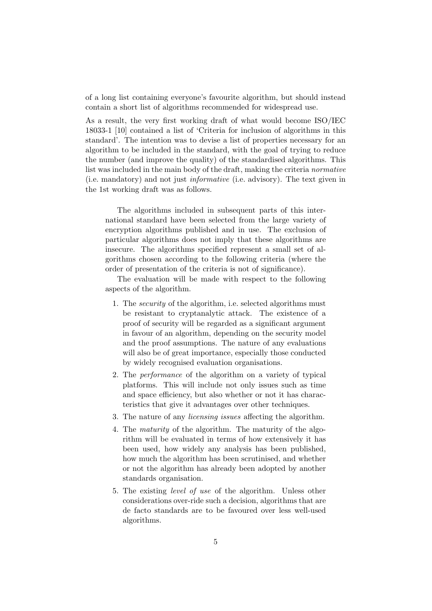of a long list containing everyone's favourite algorithm, but should instead contain a short list of algorithms recommended for widespread use.

As a result, the very first working draft of what would become ISO/IEC 18033-1 [10] contained a list of 'Criteria for inclusion of algorithms in this standard'. The intention was to devise a list of properties necessary for an algorithm to be included in the standard, with the goal of trying to reduce the number (and improve the quality) of the standardised algorithms. This list was included in the main body of the draft, making the criteria *normative* (i.e. mandatory) and not just *informative* (i.e. advisory). The text given in the 1st working draft was as follows.

The algorithms included in subsequent parts of this international standard have been selected from the large variety of encryption algorithms published and in use. The exclusion of particular algorithms does not imply that these algorithms are insecure. The algorithms specified represent a small set of algorithms chosen according to the following criteria (where the order of presentation of the criteria is not of significance).

The evaluation will be made with respect to the following aspects of the algorithm.

- 1. The *security* of the algorithm, i.e. selected algorithms must be resistant to cryptanalytic attack. The existence of a proof of security will be regarded as a significant argument in favour of an algorithm, depending on the security model and the proof assumptions. The nature of any evaluations will also be of great importance, especially those conducted by widely recognised evaluation organisations.
- 2. The *performance* of the algorithm on a variety of typical platforms. This will include not only issues such as time and space efficiency, but also whether or not it has characteristics that give it advantages over other techniques.
- 3. The nature of any *licensing issues* affecting the algorithm.
- 4. The *maturity* of the algorithm. The maturity of the algorithm will be evaluated in terms of how extensively it has been used, how widely any analysis has been published, how much the algorithm has been scrutinised, and whether or not the algorithm has already been adopted by another standards organisation.
- 5. The existing *level of use* of the algorithm. Unless other considerations over-ride such a decision, algorithms that are de facto standards are to be favoured over less well-used algorithms.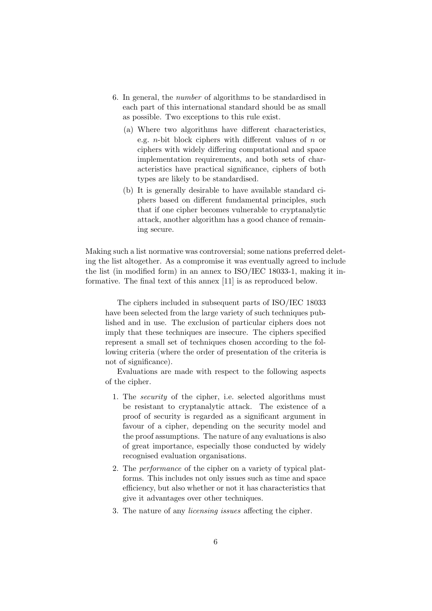- 6. In general, the *number* of algorithms to be standardised in each part of this international standard should be as small as possible. Two exceptions to this rule exist.
	- (a) Where two algorithms have different characteristics, e.g. *n*-bit block ciphers with different values of *n* or ciphers with widely differing computational and space implementation requirements, and both sets of characteristics have practical significance, ciphers of both types are likely to be standardised.
	- (b) It is generally desirable to have available standard ciphers based on different fundamental principles, such that if one cipher becomes vulnerable to cryptanalytic attack, another algorithm has a good chance of remaining secure.

Making such a list normative was controversial; some nations preferred deleting the list altogether. As a compromise it was eventually agreed to include the list (in modified form) in an annex to ISO/IEC 18033-1, making it informative. The final text of this annex [11] is as reproduced below.

The ciphers included in subsequent parts of ISO/IEC 18033 have been selected from the large variety of such techniques published and in use. The exclusion of particular ciphers does not imply that these techniques are insecure. The ciphers specified represent a small set of techniques chosen according to the following criteria (where the order of presentation of the criteria is not of significance).

Evaluations are made with respect to the following aspects of the cipher.

- 1. The *security* of the cipher, i.e. selected algorithms must be resistant to cryptanalytic attack. The existence of a proof of security is regarded as a significant argument in favour of a cipher, depending on the security model and the proof assumptions. The nature of any evaluations is also of great importance, especially those conducted by widely recognised evaluation organisations.
- 2. The *performance* of the cipher on a variety of typical platforms. This includes not only issues such as time and space efficiency, but also whether or not it has characteristics that give it advantages over other techniques.
- 3. The nature of any *licensing issues* affecting the cipher.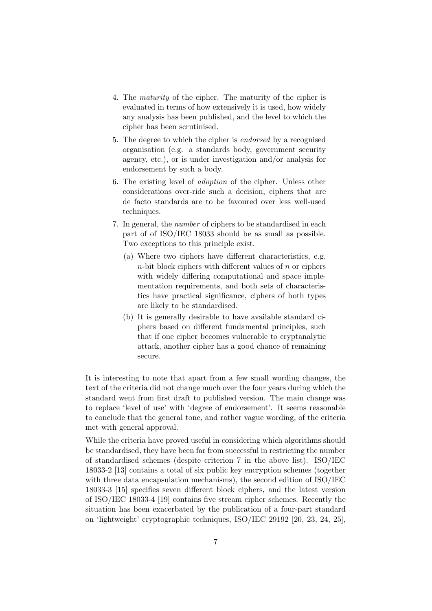- 4. The *maturity* of the cipher. The maturity of the cipher is evaluated in terms of how extensively it is used, how widely any analysis has been published, and the level to which the cipher has been scrutinised.
- 5. The degree to which the cipher is *endorsed* by a recognised organisation (e.g. a standards body, government security agency, etc.), or is under investigation and/or analysis for endorsement by such a body.
- 6. The existing level of *adoption* of the cipher. Unless other considerations over-ride such a decision, ciphers that are de facto standards are to be favoured over less well-used techniques.
- 7. In general, the *number* of ciphers to be standardised in each part of of ISO/IEC 18033 should be as small as possible. Two exceptions to this principle exist.
	- (a) Where two ciphers have different characteristics, e.g. *n*-bit block ciphers with different values of *n* or ciphers with widely differing computational and space implementation requirements, and both sets of characteristics have practical significance, ciphers of both types are likely to be standardised.
	- (b) It is generally desirable to have available standard ciphers based on different fundamental principles, such that if one cipher becomes vulnerable to cryptanalytic attack, another cipher has a good chance of remaining secure.

It is interesting to note that apart from a few small wording changes, the text of the criteria did not change much over the four years during which the standard went from first draft to published version. The main change was to replace 'level of use' with 'degree of endorsement'. It seems reasonable to conclude that the general tone, and rather vague wording, of the criteria met with general approval.

While the criteria have proved useful in considering which algorithms should be standardised, they have been far from successful in restricting the number of standardised schemes (despite criterion 7 in the above list). ISO/IEC 18033-2 [13] contains a total of six public key encryption schemes (together with three data encapsulation mechanisms), the second edition of ISO/IEC 18033-3 [15] specifies seven different block ciphers, and the latest version of ISO/IEC 18033-4 [19] contains five stream cipher schemes. Recently the situation has been exacerbated by the publication of a four-part standard on 'lightweight' cryptographic techniques, ISO/IEC 29192 [20, 23, 24, 25],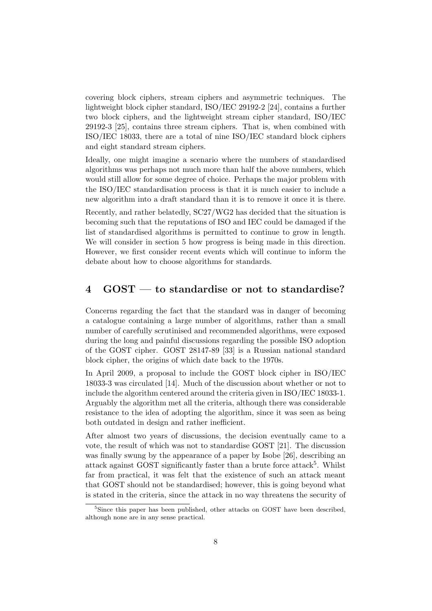covering block ciphers, stream ciphers and asymmetric techniques. The lightweight block cipher standard, ISO/IEC 29192-2 [24], contains a further two block ciphers, and the lightweight stream cipher standard, ISO/IEC 29192-3 [25], contains three stream ciphers. That is, when combined with ISO/IEC 18033, there are a total of nine ISO/IEC standard block ciphers and eight standard stream ciphers.

Ideally, one might imagine a scenario where the numbers of standardised algorithms was perhaps not much more than half the above numbers, which would still allow for some degree of choice. Perhaps the major problem with the ISO/IEC standardisation process is that it is much easier to include a new algorithm into a draft standard than it is to remove it once it is there.

Recently, and rather belatedly, SC27/WG2 has decided that the situation is becoming such that the reputations of ISO and IEC could be damaged if the list of standardised algorithms is permitted to continue to grow in length. We will consider in section 5 how progress is being made in this direction. However, we first consider recent events which will continue to inform the debate about how to choose algorithms for standards.

### **4 GOST — to standardise or not to standardise?**

Concerns regarding the fact that the standard was in danger of becoming a catalogue containing a large number of algorithms, rather than a small number of carefully scrutinised and recommended algorithms, were exposed during the long and painful discussions regarding the possible ISO adoption of the GOST cipher. GOST 28147-89 [33] is a Russian national standard block cipher, the origins of which date back to the 1970s.

In April 2009, a proposal to include the GOST block cipher in ISO/IEC 18033-3 was circulated [14]. Much of the discussion about whether or not to include the algorithm centered around the criteria given in ISO/IEC 18033-1. Arguably the algorithm met all the criteria, although there was considerable resistance to the idea of adopting the algorithm, since it was seen as being both outdated in design and rather inefficient.

After almost two years of discussions, the decision eventually came to a vote, the result of which was not to standardise GOST [21]. The discussion was finally swung by the appearance of a paper by Isobe [26], describing an attack against GOST significantly faster than a brute force attack<sup>5</sup>. Whilst far from practical, it was felt that the existence of such an attack meant that GOST should not be standardised; however, this is going beyond what is stated in the criteria, since the attack in no way threatens the security of

<sup>&</sup>lt;sup>5</sup>Since this paper has been published, other attacks on GOST have been described, although none are in any sense practical.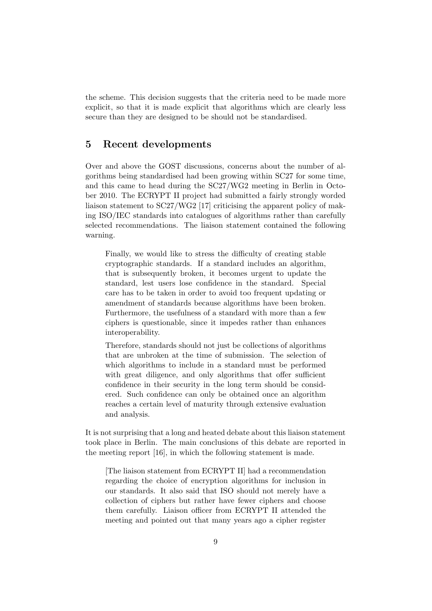the scheme. This decision suggests that the criteria need to be made more explicit, so that it is made explicit that algorithms which are clearly less secure than they are designed to be should not be standardised.

## **5 Recent developments**

Over and above the GOST discussions, concerns about the number of algorithms being standardised had been growing within SC27 for some time, and this came to head during the SC27/WG2 meeting in Berlin in October 2010. The ECRYPT II project had submitted a fairly strongly worded liaison statement to SC27/WG2 [17] criticising the apparent policy of making ISO/IEC standards into catalogues of algorithms rather than carefully selected recommendations. The liaison statement contained the following warning.

Finally, we would like to stress the difficulty of creating stable cryptographic standards. If a standard includes an algorithm, that is subsequently broken, it becomes urgent to update the standard, lest users lose confidence in the standard. Special care has to be taken in order to avoid too frequent updating or amendment of standards because algorithms have been broken. Furthermore, the usefulness of a standard with more than a few ciphers is questionable, since it impedes rather than enhances interoperability.

Therefore, standards should not just be collections of algorithms that are unbroken at the time of submission. The selection of which algorithms to include in a standard must be performed with great diligence, and only algorithms that offer sufficient confidence in their security in the long term should be considered. Such confidence can only be obtained once an algorithm reaches a certain level of maturity through extensive evaluation and analysis.

It is not surprising that a long and heated debate about this liaison statement took place in Berlin. The main conclusions of this debate are reported in the meeting report [16], in which the following statement is made.

[The liaison statement from ECRYPT II] had a recommendation regarding the choice of encryption algorithms for inclusion in our standards. It also said that ISO should not merely have a collection of ciphers but rather have fewer ciphers and choose them carefully. Liaison officer from ECRYPT II attended the meeting and pointed out that many years ago a cipher register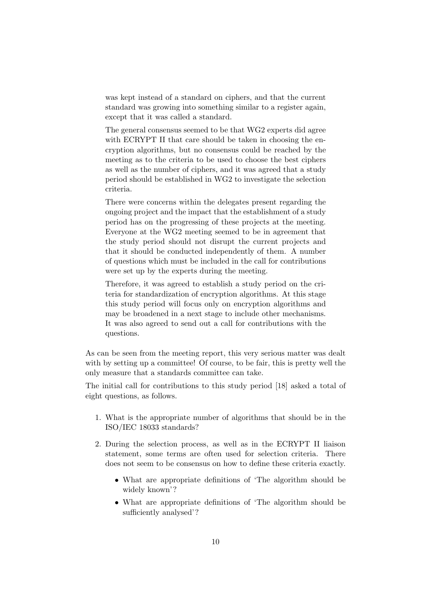was kept instead of a standard on ciphers, and that the current standard was growing into something similar to a register again, except that it was called a standard.

The general consensus seemed to be that WG2 experts did agree with ECRYPT II that care should be taken in choosing the encryption algorithms, but no consensus could be reached by the meeting as to the criteria to be used to choose the best ciphers as well as the number of ciphers, and it was agreed that a study period should be established in WG2 to investigate the selection criteria.

There were concerns within the delegates present regarding the ongoing project and the impact that the establishment of a study period has on the progressing of these projects at the meeting. Everyone at the WG2 meeting seemed to be in agreement that the study period should not disrupt the current projects and that it should be conducted independently of them. A number of questions which must be included in the call for contributions were set up by the experts during the meeting.

Therefore, it was agreed to establish a study period on the criteria for standardization of encryption algorithms. At this stage this study period will focus only on encryption algorithms and may be broadened in a next stage to include other mechanisms. It was also agreed to send out a call for contributions with the questions.

As can be seen from the meeting report, this very serious matter was dealt with by setting up a committee! Of course, to be fair, this is pretty well the only measure that a standards committee can take.

The initial call for contributions to this study period [18] asked a total of eight questions, as follows.

- 1. What is the appropriate number of algorithms that should be in the ISO/IEC 18033 standards?
- 2. During the selection process, as well as in the ECRYPT II liaison statement, some terms are often used for selection criteria. There does not seem to be consensus on how to define these criteria exactly.
	- *•* What are appropriate definitions of 'The algorithm should be widely known'?
	- *•* What are appropriate definitions of 'The algorithm should be sufficiently analysed'?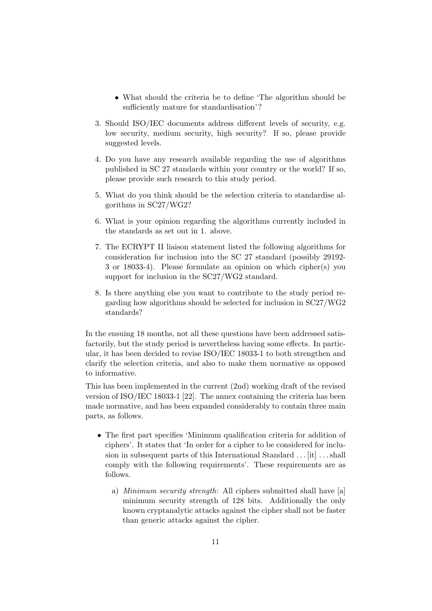- What should the criteria be to define 'The algorithm should be sufficiently mature for standardisation'?
- 3. Should ISO/IEC documents address different levels of security, e.g. low security, medium security, high security? If so, please provide suggested levels.
- 4. Do you have any research available regarding the use of algorithms published in SC 27 standards within your country or the world? If so, please provide such research to this study period.
- 5. What do you think should be the selection criteria to standardise algorithms in SC27/WG2?
- 6. What is your opinion regarding the algorithms currently included in the standards as set out in 1. above.
- 7. The ECRYPT II liaison statement listed the following algorithms for consideration for inclusion into the SC 27 standard (possibly 29192- 3 or 18033-4). Please formulate an opinion on which cipher(s) you support for inclusion in the SC27/WG2 standard.
- 8. Is there anything else you want to contribute to the study period regarding how algorithms should be selected for inclusion in SC27/WG2 standards?

In the ensuing 18 months, not all these questions have been addressed satisfactorily, but the study period is nevertheless having some effects. In particular, it has been decided to revise ISO/IEC 18033-1 to both strengthen and clarify the selection criteria, and also to make them normative as opposed to informative.

This has been implemented in the current (2nd) working draft of the revised version of ISO/IEC 18033-1 [22]. The annex containing the criteria has been made normative, and has been expanded considerably to contain three main parts, as follows.

- The first part specifies 'Minimum qualification criteria for addition of ciphers'. It states that 'In order for a cipher to be considered for inclusion in subsequent parts of this International Standard  $\dots$  [it]  $\dots$ shall comply with the following requirements'. These requirements are as follows.
	- a) *Minimum security strength*: All ciphers submitted shall have [a] minimum security strength of 128 bits. Additionally the only known cryptanalytic attacks against the cipher shall not be faster than generic attacks against the cipher.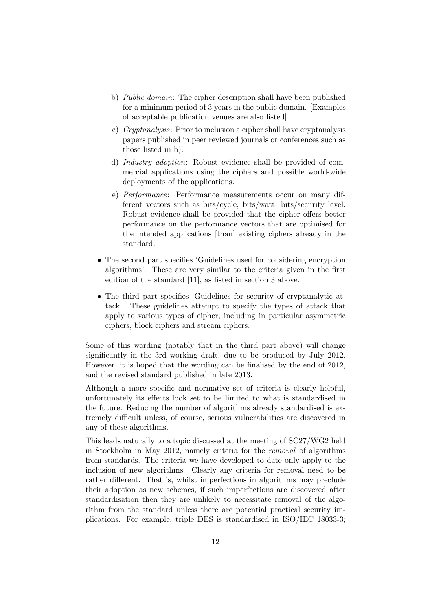- b) *Public domain*: The cipher description shall have been published for a minimum period of 3 years in the public domain. [Examples of acceptable publication venues are also listed].
- c) *Cryptanalysis*: Prior to inclusion a cipher shall have cryptanalysis papers published in peer reviewed journals or conferences such as those listed in b).
- d) *Industry adoption*: Robust evidence shall be provided of commercial applications using the ciphers and possible world-wide deployments of the applications.
- e) *Performance*: Performance measurements occur on many different vectors such as bits/cycle, bits/watt, bits/security level. Robust evidence shall be provided that the cipher offers better performance on the performance vectors that are optimised for the intended applications [than] existing ciphers already in the standard.
- The second part specifies 'Guidelines used for considering encryption algorithms'. These are very similar to the criteria given in the first edition of the standard [11], as listed in section 3 above.
- The third part specifies 'Guidelines for security of cryptanalytic attack'. These guidelines attempt to specify the types of attack that apply to various types of cipher, including in particular asymmetric ciphers, block ciphers and stream ciphers.

Some of this wording (notably that in the third part above) will change significantly in the 3rd working draft, due to be produced by July 2012. However, it is hoped that the wording can be finalised by the end of 2012, and the revised standard published in late 2013.

Although a more specific and normative set of criteria is clearly helpful, unfortunately its effects look set to be limited to what is standardised in the future. Reducing the number of algorithms already standardised is extremely difficult unless, of course, serious vulnerabilities are discovered in any of these algorithms.

This leads naturally to a topic discussed at the meeting of SC27/WG2 held in Stockholm in May 2012, namely criteria for the *removal* of algorithms from standards. The criteria we have developed to date only apply to the inclusion of new algorithms. Clearly any criteria for removal need to be rather different. That is, whilst imperfections in algorithms may preclude their adoption as new schemes, if such imperfections are discovered after standardisation then they are unlikely to necessitate removal of the algorithm from the standard unless there are potential practical security implications. For example, triple DES is standardised in ISO/IEC 18033-3;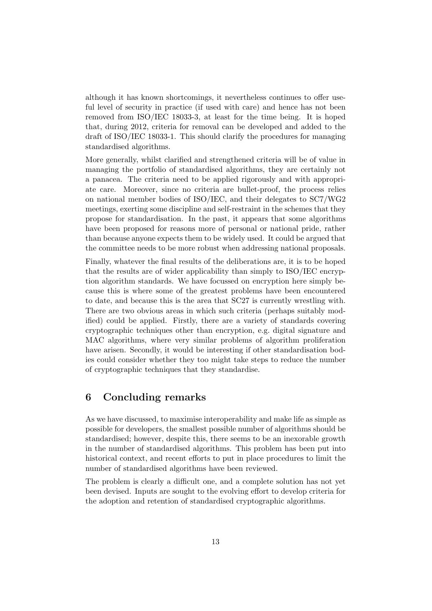although it has known shortcomings, it nevertheless continues to offer useful level of security in practice (if used with care) and hence has not been removed from ISO/IEC 18033-3, at least for the time being. It is hoped that, during 2012, criteria for removal can be developed and added to the draft of ISO/IEC 18033-1. This should clarify the procedures for managing standardised algorithms.

More generally, whilst clarified and strengthened criteria will be of value in managing the portfolio of standardised algorithms, they are certainly not a panacea. The criteria need to be applied rigorously and with appropriate care. Moreover, since no criteria are bullet-proof, the process relies on national member bodies of ISO/IEC, and their delegates to SC7/WG2 meetings, exerting some discipline and self-restraint in the schemes that they propose for standardisation. In the past, it appears that some algorithms have been proposed for reasons more of personal or national pride, rather than because anyone expects them to be widely used. It could be argued that the committee needs to be more robust when addressing national proposals.

Finally, whatever the final results of the deliberations are, it is to be hoped that the results are of wider applicability than simply to ISO/IEC encryption algorithm standards. We have focussed on encryption here simply because this is where some of the greatest problems have been encountered to date, and because this is the area that SC27 is currently wrestling with. There are two obvious areas in which such criteria (perhaps suitably modified) could be applied. Firstly, there are a variety of standards covering cryptographic techniques other than encryption, e.g. digital signature and MAC algorithms, where very similar problems of algorithm proliferation have arisen. Secondly, it would be interesting if other standardisation bodies could consider whether they too might take steps to reduce the number of cryptographic techniques that they standardise.

### **6 Concluding remarks**

As we have discussed, to maximise interoperability and make life as simple as possible for developers, the smallest possible number of algorithms should be standardised; however, despite this, there seems to be an inexorable growth in the number of standardised algorithms. This problem has been put into historical context, and recent efforts to put in place procedures to limit the number of standardised algorithms have been reviewed.

The problem is clearly a difficult one, and a complete solution has not yet been devised. Inputs are sought to the evolving effort to develop criteria for the adoption and retention of standardised cryptographic algorithms.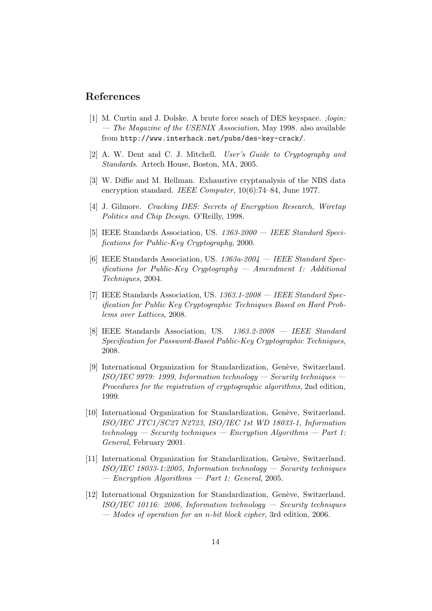### **References**

- [1] M. Curtin and J. Dolske. A brute force seach of DES keyspace. *;login: — The Magazine of the USENIX Association*, May 1998. also available from http://www.interhack.net/pubs/des-key-crack/.
- [2] A. W. Dent and C. J. Mitchell. *User's Guide to Cryptography and Standards*. Artech House, Boston, MA, 2005.
- [3] W. Diffie and M. Hellman. Exhaustive cryptanalysis of the NBS data encryption standard. *IEEE Computer*, 10(6):74–84, June 1977.
- [4] J. Gilmore. *Cracking DES: Secrets of Encryption Research, Wiretap Politics and Chip Design*. O'Reilly, 1998.
- [5] IEEE Standards Association, US. *1363-2000 IEEE Standard Specifications for Public-Key Cryptography*, 2000.
- [6] IEEE Standards Association, US. *1363a-2004 IEEE Standard Specifications for Public-Key Cryptography — Amendment 1: Additional Techniques*, 2004.
- [7] IEEE Standards Association, US. *1363.1-2008 IEEE Standard Specification for Public Key Cryptographic Techniques Based on Hard Problems over Lattices*, 2008.
- [8] IEEE Standards Association, US. *1363.2-2008 IEEE Standard Specification for Password-Based Public-Key Cryptographic Techniques*, 2008.
- [9] International Organization for Standardization, Genève, Switzerland. *ISO/IEC 9979: 1999, Information technology — Security techniques — Procedures for the registration of cryptographic algorithms*, 2nd edition, 1999.
- [10] International Organization for Standardization, Genève, Switzerland. *ISO/IEC JTC1/SC27 N2723, ISO/IEC 1st WD 18033-1, Information technology — Security techniques — Encryption Algorithms — Part 1: General*, February 2001.
- [11] International Organization for Standardization, Genève, Switzerland. *ISO/IEC 18033-1:2005, Information technology — Security techniques — Encryption Algorithms — Part 1: General*, 2005.
- [12] International Organization for Standardization, Genève, Switzerland. *ISO/IEC 10116: 2006, Information technology — Security techniques — Modes of operation for an n-bit block cipher*, 3rd edition, 2006.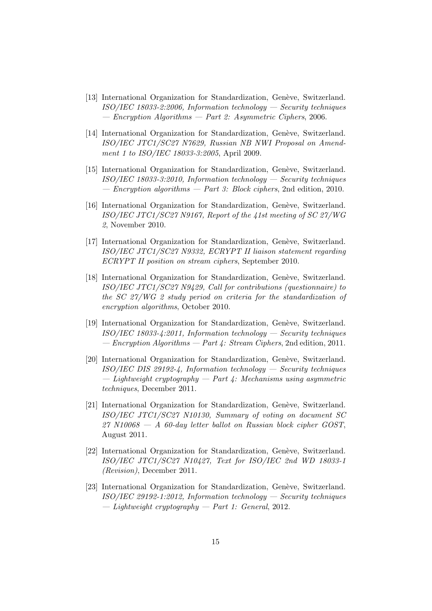- [13] International Organization for Standardization, Genève, Switzerland. *ISO/IEC 18033-2:2006, Information technology — Security techniques — Encryption Algorithms — Part 2: Asymmetric Ciphers*, 2006.
- [14] International Organization for Standardization, Genève, Switzerland. *ISO/IEC JTC1/SC27 N7629, Russian NB NWI Proposal on Amendment 1 to ISO/IEC 18033-3:2005*, April 2009.
- [15] International Organization for Standardization, Genève, Switzerland. *ISO/IEC 18033-3:2010, Information technology — Security techniques — Encryption algorithms — Part 3: Block ciphers*, 2nd edition, 2010.
- [16] International Organization for Standardization, Genève, Switzerland. *ISO/IEC JTC1/SC27 N9167, Report of the 41st meeting of SC 27/WG 2*, November 2010.
- [17] International Organization for Standardization, Genève, Switzerland. *ISO/IEC JTC1/SC27 N9332, ECRYPT II liaison statement regarding ECRYPT II position on stream ciphers*, September 2010.
- [18] International Organization for Standardization, Genève, Switzerland. *ISO/IEC JTC1/SC27 N9429, Call for contributions (questionnaire) to the SC 27/WG 2 study period on criteria for the standardization of encryption algorithms*, October 2010.
- [19] International Organization for Standardization, Genève, Switzerland. *ISO/IEC 18033-4:2011, Information technology — Security techniques — Encryption Algorithms — Part 4: Stream Ciphers*, 2nd edition, 2011.
- [20] International Organization for Standardization, Genève, Switzerland. *ISO/IEC DIS 29192-4, Information technology — Security techniques — Lightweight cryptography — Part 4: Mechanisms using asymmetric techniques*, December 2011.
- [21] International Organization for Standardization, Genève, Switzerland. *ISO/IEC JTC1/SC27 N10130, Summary of voting on document SC 27 N10068 — A 60-day letter ballot on Russian block cipher GOST*, August 2011.
- [22] International Organization for Standardization, Genève, Switzerland. *ISO/IEC JTC1/SC27 N10427, Text for ISO/IEC 2nd WD 18033-1 (Revision)*, December 2011.
- [23] International Organization for Standardization, Genève, Switzerland. *ISO/IEC 29192-1:2012, Information technology — Security techniques — Lightweight cryptography — Part 1: General*, 2012.